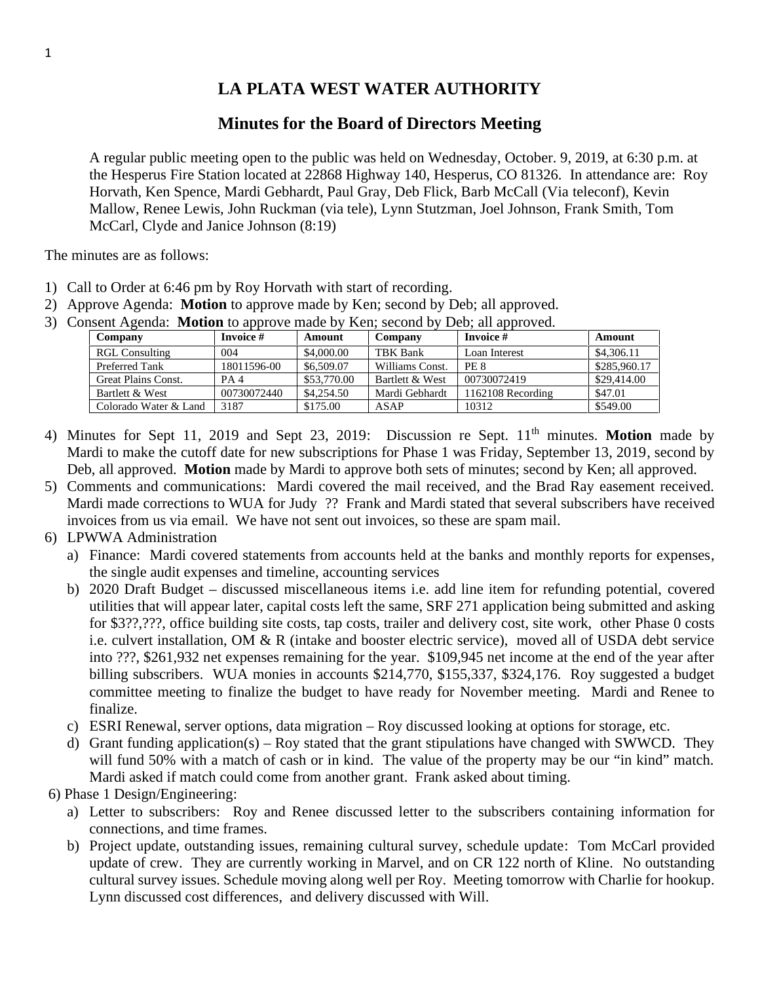## **LA PLATA WEST WATER AUTHORITY**

## **Minutes for the Board of Directors Meeting**

A regular public meeting open to the public was held on Wednesday, October. 9, 2019, at 6:30 p.m. at the Hesperus Fire Station located at 22868 Highway 140, Hesperus, CO 81326. In attendance are: Roy Horvath, Ken Spence, Mardi Gebhardt, Paul Gray, Deb Flick, Barb McCall (Via teleconf), Kevin Mallow, Renee Lewis, John Ruckman (via tele), Lynn Stutzman, Joel Johnson, Frank Smith, Tom McCarl, Clyde and Janice Johnson (8:19)

The minutes are as follows:

- 1) Call to Order at 6:46 pm by Roy Horvath with start of recording.
- 2) Approve Agenda: **Motion** to approve made by Ken; second by Deb; all approved.
- 3) Consent Agenda: **Motion** to approve made by Ken; second by Deb; all approved.

| Company                    | Invoice #       | Amount      | Company         | Invoice #         | Amount       |
|----------------------------|-----------------|-------------|-----------------|-------------------|--------------|
| <b>RGL Consulting</b>      | 004             | \$4,000.00  | TBK Bank        | Loan Interest     | \$4,306.11   |
| Preferred Tank             | 18011596-00     | \$6,509.07  | Williams Const. | PE 8              | \$285,960.17 |
| <b>Great Plains Const.</b> | PA <sub>4</sub> | \$53,770.00 | Bartlett & West | 00730072419       | \$29,414.00  |
| Bartlett & West            | 00730072440     | \$4,254.50  | Mardi Gebhardt  | 1162108 Recording | \$47.01      |
| Colorado Water & Land      | 3187            | \$175.00    | ASAP            | 10312             | \$549.00     |

- 4) Minutes for Sept 11, 2019 and Sept 23, 2019: Discussion re Sept. 11<sup>th</sup> minutes. Motion made by Mardi to make the cutoff date for new subscriptions for Phase 1 was Friday, September 13, 2019, second by Deb, all approved. **Motion** made by Mardi to approve both sets of minutes; second by Ken; all approved.
- 5) Comments and communications: Mardi covered the mail received, and the Brad Ray easement received. Mardi made corrections to WUA for Judy ?? Frank and Mardi stated that several subscribers have received invoices from us via email. We have not sent out invoices, so these are spam mail.
- 6) LPWWA Administration
	- a) Finance: Mardi covered statements from accounts held at the banks and monthly reports for expenses, the single audit expenses and timeline, accounting services
	- b) 2020 Draft Budget discussed miscellaneous items i.e. add line item for refunding potential, covered utilities that will appear later, capital costs left the same, SRF 271 application being submitted and asking for \$3??,???, office building site costs, tap costs, trailer and delivery cost, site work, other Phase 0 costs i.e. culvert installation, OM & R (intake and booster electric service), moved all of USDA debt service into ???, \$261,932 net expenses remaining for the year. \$109,945 net income at the end of the year after billing subscribers. WUA monies in accounts \$214,770, \$155,337, \$324,176. Roy suggested a budget committee meeting to finalize the budget to have ready for November meeting. Mardi and Renee to finalize.
	- c) ESRI Renewal, server options, data migration Roy discussed looking at options for storage, etc.
	- d) Grant funding application(s) Roy stated that the grant stipulations have changed with SWWCD. They will fund 50% with a match of cash or in kind. The value of the property may be our "in kind" match. Mardi asked if match could come from another grant. Frank asked about timing.

6) Phase 1 Design/Engineering:

- a) Letter to subscribers: Roy and Renee discussed letter to the subscribers containing information for connections, and time frames.
- b) Project update, outstanding issues, remaining cultural survey, schedule update: Tom McCarl provided update of crew. They are currently working in Marvel, and on CR 122 north of Kline. No outstanding cultural survey issues. Schedule moving along well per Roy. Meeting tomorrow with Charlie for hookup. Lynn discussed cost differences, and delivery discussed with Will.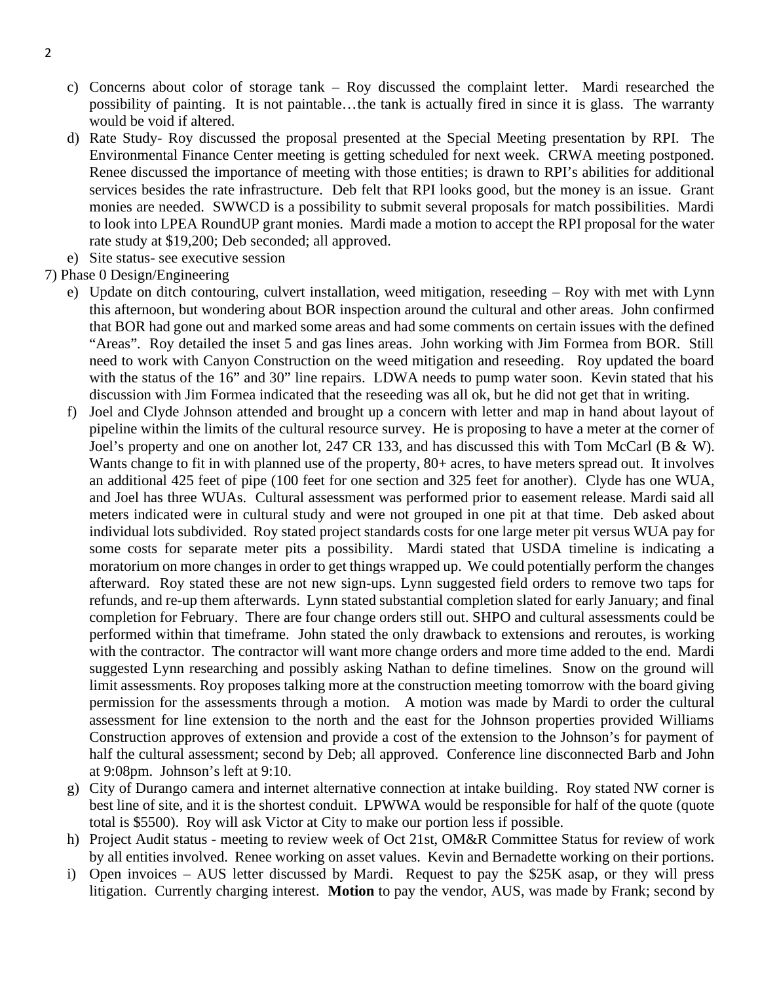- c) Concerns about color of storage tank Roy discussed the complaint letter. Mardi researched the possibility of painting. It is not paintable…the tank is actually fired in since it is glass. The warranty would be void if altered.
- d) Rate Study- Roy discussed the proposal presented at the Special Meeting presentation by RPI. The Environmental Finance Center meeting is getting scheduled for next week. CRWA meeting postponed. Renee discussed the importance of meeting with those entities; is drawn to RPI's abilities for additional services besides the rate infrastructure. Deb felt that RPI looks good, but the money is an issue. Grant monies are needed. SWWCD is a possibility to submit several proposals for match possibilities. Mardi to look into LPEA RoundUP grant monies. Mardi made a motion to accept the RPI proposal for the water rate study at \$19,200; Deb seconded; all approved.
- e) Site status- see executive session
- 7) Phase 0 Design/Engineering
	- e) Update on ditch contouring, culvert installation, weed mitigation, reseeding Roy with met with Lynn this afternoon, but wondering about BOR inspection around the cultural and other areas. John confirmed that BOR had gone out and marked some areas and had some comments on certain issues with the defined "Areas". Roy detailed the inset 5 and gas lines areas. John working with Jim Formea from BOR. Still need to work with Canyon Construction on the weed mitigation and reseeding. Roy updated the board with the status of the 16" and 30" line repairs. LDWA needs to pump water soon. Kevin stated that his discussion with Jim Formea indicated that the reseeding was all ok, but he did not get that in writing.
	- f) Joel and Clyde Johnson attended and brought up a concern with letter and map in hand about layout of pipeline within the limits of the cultural resource survey. He is proposing to have a meter at the corner of Joel's property and one on another lot, 247 CR 133, and has discussed this with Tom McCarl (B & W). Wants change to fit in with planned use of the property, 80+ acres, to have meters spread out. It involves an additional 425 feet of pipe (100 feet for one section and 325 feet for another). Clyde has one WUA, and Joel has three WUAs. Cultural assessment was performed prior to easement release. Mardi said all meters indicated were in cultural study and were not grouped in one pit at that time. Deb asked about individual lots subdivided. Roy stated project standards costs for one large meter pit versus WUA pay for some costs for separate meter pits a possibility. Mardi stated that USDA timeline is indicating a moratorium on more changes in order to get things wrapped up. We could potentially perform the changes afterward. Roy stated these are not new sign-ups. Lynn suggested field orders to remove two taps for refunds, and re-up them afterwards. Lynn stated substantial completion slated for early January; and final completion for February. There are four change orders still out. SHPO and cultural assessments could be performed within that timeframe. John stated the only drawback to extensions and reroutes, is working with the contractor. The contractor will want more change orders and more time added to the end. Mardi suggested Lynn researching and possibly asking Nathan to define timelines. Snow on the ground will limit assessments. Roy proposes talking more at the construction meeting tomorrow with the board giving permission for the assessments through a motion. A motion was made by Mardi to order the cultural assessment for line extension to the north and the east for the Johnson properties provided Williams Construction approves of extension and provide a cost of the extension to the Johnson's for payment of half the cultural assessment; second by Deb; all approved. Conference line disconnected Barb and John at 9:08pm. Johnson's left at 9:10.
	- g) City of Durango camera and internet alternative connection at intake building. Roy stated NW corner is best line of site, and it is the shortest conduit. LPWWA would be responsible for half of the quote (quote total is \$5500). Roy will ask Victor at City to make our portion less if possible.
	- h) Project Audit status meeting to review week of Oct 21st, OM&R Committee Status for review of work by all entities involved. Renee working on asset values. Kevin and Bernadette working on their portions.
	- i) Open invoices AUS letter discussed by Mardi. Request to pay the \$25K asap, or they will press litigation. Currently charging interest. **Motion** to pay the vendor, AUS, was made by Frank; second by